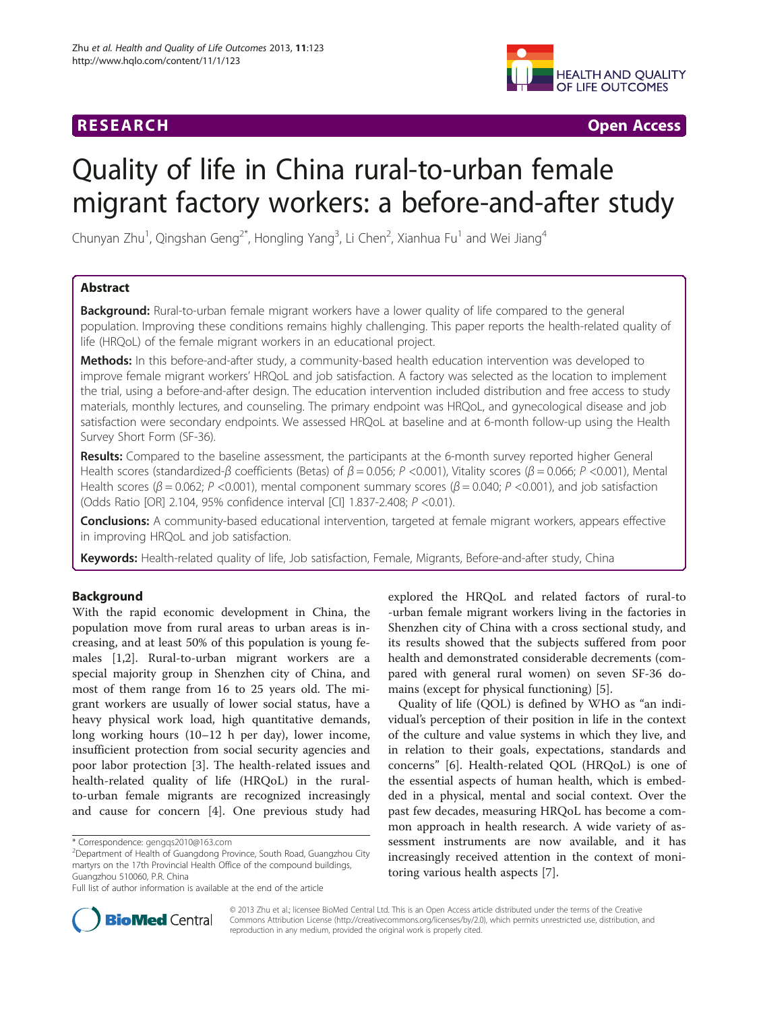## **RESEARCH CHINESE ARCH CHINESE ARCH CHINESE ARCH <b>CHINESE ARCH CHINESE ARCH CHINESE ARCH <b>CHINESE** ARCH **CHINESE ARCH** CHINESE ARCH **CHINESE ARCH 2014**



# Quality of life in China rural-to-urban female migrant factory workers: a before-and-after study

Chunyan Zhu<sup>1</sup>, Qingshan Geng<sup>2\*</sup>, Hongling Yang<sup>3</sup>, Li Chen<sup>2</sup>, Xianhua Fu<sup>1</sup> and Wei Jiang<sup>4</sup>

## Abstract

**Background:** Rural-to-urban female migrant workers have a lower quality of life compared to the general population. Improving these conditions remains highly challenging. This paper reports the health-related quality of life (HRQoL) of the female migrant workers in an educational project.

Methods: In this before-and-after study, a community-based health education intervention was developed to improve female migrant workers' HRQoL and job satisfaction. A factory was selected as the location to implement the trial, using a before-and-after design. The education intervention included distribution and free access to study materials, monthly lectures, and counseling. The primary endpoint was HRQoL, and gynecological disease and job satisfaction were secondary endpoints. We assessed HRQoL at baseline and at 6-month follow-up using the Health Survey Short Form (SF-36).

Results: Compared to the baseline assessment, the participants at the 6-month survey reported higher General Health scores (standardized-β coefficients (Betas) of  $\beta$  = 0.056; P <0.001), Vitality scores ( $\beta$  = 0.066; P <0.001), Mental Health scores ( $\beta$  = 0.062; P <0.001), mental component summary scores ( $\beta$  = 0.040; P <0.001), and job satisfaction (Odds Ratio [OR] 2.104, 95% confidence interval [CI] 1.837-2.408; P <0.01).

**Conclusions:** A community-based educational intervention, targeted at female migrant workers, appears effective in improving HRQoL and job satisfaction.

Keywords: Health-related quality of life, Job satisfaction, Female, Migrants, Before-and-after study, China

## Background

With the rapid economic development in China, the population move from rural areas to urban areas is increasing, and at least 50% of this population is young females [\[1,2](#page-7-0)]. Rural-to-urban migrant workers are a special majority group in Shenzhen city of China, and most of them range from 16 to 25 years old. The migrant workers are usually of lower social status, have a heavy physical work load, high quantitative demands, long working hours (10–12 h per day), lower income, insufficient protection from social security agencies and poor labor protection [[3\]](#page-7-0). The health-related issues and health-related quality of life (HRQoL) in the ruralto-urban female migrants are recognized increasingly and cause for concern [[4](#page-7-0)]. One previous study had

explored the HRQoL and related factors of rural-to -urban female migrant workers living in the factories in Shenzhen city of China with a cross sectional study, and its results showed that the subjects suffered from poor health and demonstrated considerable decrements (compared with general rural women) on seven SF-36 domains (except for physical functioning) [[5\]](#page-7-0).

Quality of life (QOL) is defined by WHO as "an individual's perception of their position in life in the context of the culture and value systems in which they live, and in relation to their goals, expectations, standards and concerns" [[6\]](#page-7-0). Health-related QOL (HRQoL) is one of the essential aspects of human health, which is embedded in a physical, mental and social context. Over the past few decades, measuring HRQoL has become a common approach in health research. A wide variety of assessment instruments are now available, and it has increasingly received attention in the context of monitoring various health aspects [\[7](#page-7-0)].



© 2013 Zhu et al.; licensee BioMed Central Ltd. This is an Open Access article distributed under the terms of the Creative Commons Attribution License [\(http://creativecommons.org/licenses/by/2.0\)](http://creativecommons.org/licenses/by/2.0), which permits unrestricted use, distribution, and reproduction in any medium, provided the original work is properly cited.

<sup>\*</sup> Correspondence: [gengqs2010@163.com](mailto:gengqs2010@163.com) <sup>2</sup>

Department of Health of Guangdong Province, South Road, Guangzhou City martyrs on the 17th Provincial Health Office of the compound buildings, Guangzhou 510060, P.R. China

Full list of author information is available at the end of the article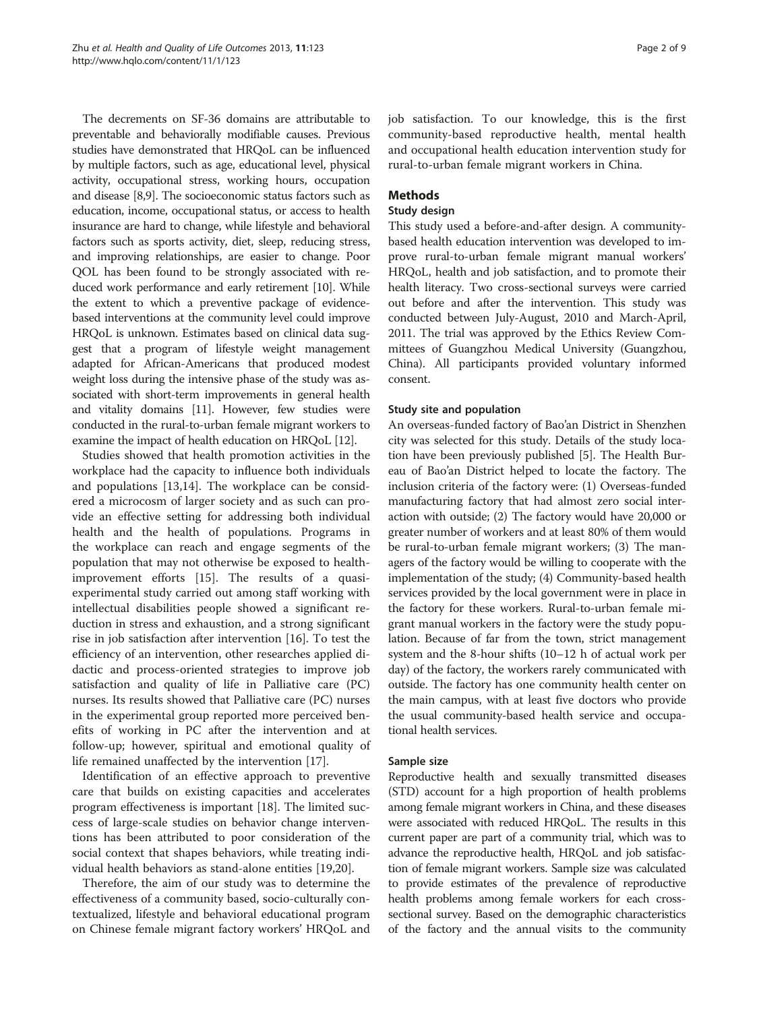The decrements on SF-36 domains are attributable to preventable and behaviorally modifiable causes. Previous studies have demonstrated that HRQoL can be influenced by multiple factors, such as age, educational level, physical activity, occupational stress, working hours, occupation and disease [\[8,9\]](#page-7-0). The socioeconomic status factors such as education, income, occupational status, or access to health insurance are hard to change, while lifestyle and behavioral factors such as sports activity, diet, sleep, reducing stress, and improving relationships, are easier to change. Poor QOL has been found to be strongly associated with reduced work performance and early retirement [\[10\]](#page-7-0). While the extent to which a preventive package of evidencebased interventions at the community level could improve HRQoL is unknown. Estimates based on clinical data suggest that a program of lifestyle weight management adapted for African-Americans that produced modest weight loss during the intensive phase of the study was associated with short-term improvements in general health and vitality domains [\[11\]](#page-7-0). However, few studies were conducted in the rural-to-urban female migrant workers to examine the impact of health education on HRQoL [[12](#page-7-0)].

Studies showed that health promotion activities in the workplace had the capacity to influence both individuals and populations [\[13,14\]](#page-7-0). The workplace can be considered a microcosm of larger society and as such can provide an effective setting for addressing both individual health and the health of populations. Programs in the workplace can reach and engage segments of the population that may not otherwise be exposed to healthimprovement efforts [\[15](#page-7-0)]. The results of a quasiexperimental study carried out among staff working with intellectual disabilities people showed a significant reduction in stress and exhaustion, and a strong significant rise in job satisfaction after intervention [\[16](#page-7-0)]. To test the efficiency of an intervention, other researches applied didactic and process-oriented strategies to improve job satisfaction and quality of life in Palliative care (PC) nurses. Its results showed that Palliative care (PC) nurses in the experimental group reported more perceived benefits of working in PC after the intervention and at follow-up; however, spiritual and emotional quality of life remained unaffected by the intervention [\[17\]](#page-7-0).

Identification of an effective approach to preventive care that builds on existing capacities and accelerates program effectiveness is important [[18\]](#page-7-0). The limited success of large-scale studies on behavior change interventions has been attributed to poor consideration of the social context that shapes behaviors, while treating individual health behaviors as stand-alone entities [\[19,20\]](#page-7-0).

Therefore, the aim of our study was to determine the effectiveness of a community based, socio-culturally contextualized, lifestyle and behavioral educational program on Chinese female migrant factory workers' HRQoL and job satisfaction. To our knowledge, this is the first community-based reproductive health, mental health and occupational health education intervention study for rural-to-urban female migrant workers in China.

## Methods

### Study design

This study used a before-and-after design. A communitybased health education intervention was developed to improve rural-to-urban female migrant manual workers' HRQoL, health and job satisfaction, and to promote their health literacy. Two cross-sectional surveys were carried out before and after the intervention. This study was conducted between July-August, 2010 and March-April, 2011. The trial was approved by the Ethics Review Committees of Guangzhou Medical University (Guangzhou, China). All participants provided voluntary informed consent.

#### Study site and population

An overseas-funded factory of Bao'an District in Shenzhen city was selected for this study. Details of the study location have been previously published [[5](#page-7-0)]. The Health Bureau of Bao'an District helped to locate the factory. The inclusion criteria of the factory were: (1) Overseas-funded manufacturing factory that had almost zero social interaction with outside; (2) The factory would have 20,000 or greater number of workers and at least 80% of them would be rural-to-urban female migrant workers; (3) The managers of the factory would be willing to cooperate with the implementation of the study; (4) Community-based health services provided by the local government were in place in the factory for these workers. Rural-to-urban female migrant manual workers in the factory were the study population. Because of far from the town, strict management system and the 8-hour shifts (10–12 h of actual work per day) of the factory, the workers rarely communicated with outside. The factory has one community health center on the main campus, with at least five doctors who provide the usual community-based health service and occupational health services.

## Sample size

Reproductive health and sexually transmitted diseases (STD) account for a high proportion of health problems among female migrant workers in China, and these diseases were associated with reduced HRQoL. The results in this current paper are part of a community trial, which was to advance the reproductive health, HRQoL and job satisfaction of female migrant workers. Sample size was calculated to provide estimates of the prevalence of reproductive health problems among female workers for each crosssectional survey. Based on the demographic characteristics of the factory and the annual visits to the community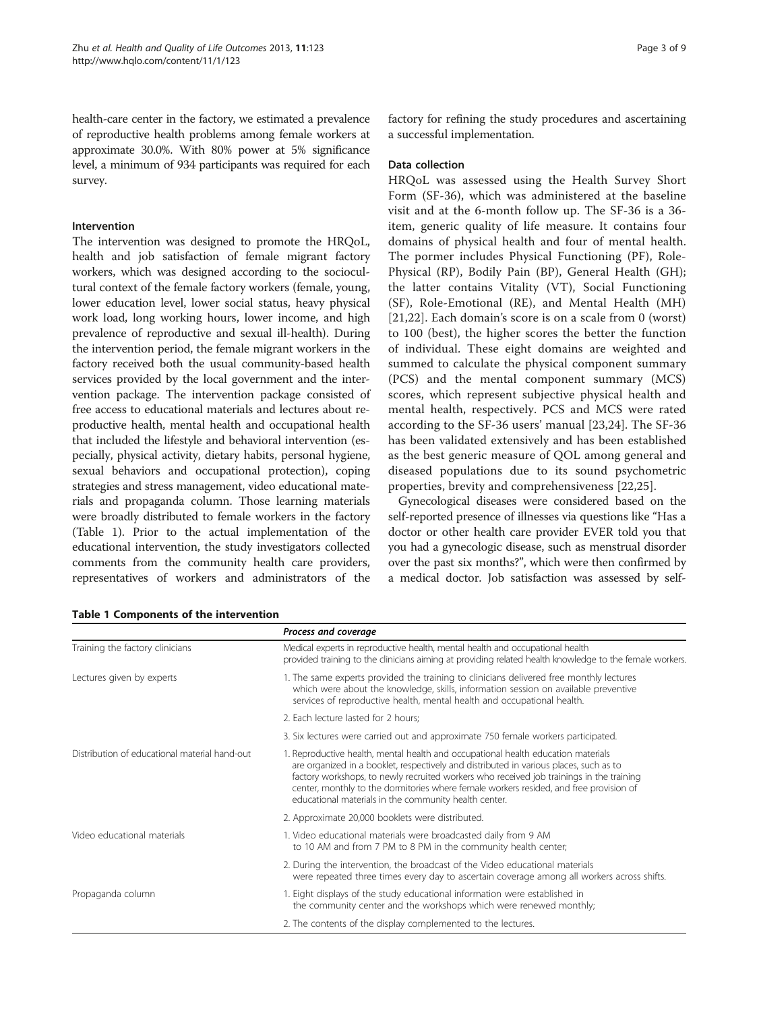health-care center in the factory, we estimated a prevalence of reproductive health problems among female workers at approximate 30.0%. With 80% power at 5% significance level, a minimum of 934 participants was required for each survey.

#### Intervention

The intervention was designed to promote the HRQoL, health and job satisfaction of female migrant factory workers, which was designed according to the sociocultural context of the female factory workers (female, young, lower education level, lower social status, heavy physical work load, long working hours, lower income, and high prevalence of reproductive and sexual ill-health). During the intervention period, the female migrant workers in the factory received both the usual community-based health services provided by the local government and the intervention package. The intervention package consisted of free access to educational materials and lectures about reproductive health, mental health and occupational health that included the lifestyle and behavioral intervention (especially, physical activity, dietary habits, personal hygiene, sexual behaviors and occupational protection), coping strategies and stress management, video educational materials and propaganda column. Those learning materials were broadly distributed to female workers in the factory (Table 1). Prior to the actual implementation of the educational intervention, the study investigators collected comments from the community health care providers, representatives of workers and administrators of the

factory for refining the study procedures and ascertaining a successful implementation.

#### Data collection

HRQoL was assessed using the Health Survey Short Form (SF-36), which was administered at the baseline visit and at the 6-month follow up. The SF-36 is a 36 item, generic quality of life measure. It contains four domains of physical health and four of mental health. The pormer includes Physical Functioning (PF), Role-Physical (RP), Bodily Pain (BP), General Health (GH); the latter contains Vitality (VT), Social Functioning (SF), Role-Emotional (RE), and Mental Health (MH) [[21,22](#page-7-0)]. Each domain's score is on a scale from 0 (worst) to 100 (best), the higher scores the better the function of individual. These eight domains are weighted and summed to calculate the physical component summary (PCS) and the mental component summary (MCS) scores, which represent subjective physical health and mental health, respectively. PCS and MCS were rated according to the SF-36 users' manual [[23,24](#page-7-0)]. The SF-36 has been validated extensively and has been established as the best generic measure of QOL among general and diseased populations due to its sound psychometric properties, brevity and comprehensiveness [[22,25\]](#page-7-0).

Gynecological diseases were considered based on the self-reported presence of illnesses via questions like "Has a doctor or other health care provider EVER told you that you had a gynecologic disease, such as menstrual disorder over the past six months?", which were then confirmed by a medical doctor. Job satisfaction was assessed by self-

|                                               | Process and coverage                                                                                                                                                                                                                                                                                                                                                                                                       |  |  |  |
|-----------------------------------------------|----------------------------------------------------------------------------------------------------------------------------------------------------------------------------------------------------------------------------------------------------------------------------------------------------------------------------------------------------------------------------------------------------------------------------|--|--|--|
| Training the factory clinicians               | Medical experts in reproductive health, mental health and occupational health<br>provided training to the clinicians aiming at providing related health knowledge to the female workers.                                                                                                                                                                                                                                   |  |  |  |
| Lectures given by experts                     | 1. The same experts provided the training to clinicians delivered free monthly lectures<br>which were about the knowledge, skills, information session on available preventive<br>services of reproductive health, mental health and occupational health.                                                                                                                                                                  |  |  |  |
|                                               | 2. Each lecture lasted for 2 hours;                                                                                                                                                                                                                                                                                                                                                                                        |  |  |  |
|                                               | 3. Six lectures were carried out and approximate 750 female workers participated.                                                                                                                                                                                                                                                                                                                                          |  |  |  |
| Distribution of educational material hand-out | 1. Reproductive health, mental health and occupational health education materials<br>are organized in a booklet, respectively and distributed in various places, such as to<br>factory workshops, to newly recruited workers who received job trainings in the training<br>center, monthly to the dormitories where female workers resided, and free provision of<br>educational materials in the community health center. |  |  |  |
|                                               | 2. Approximate 20,000 booklets were distributed.                                                                                                                                                                                                                                                                                                                                                                           |  |  |  |
| Video educational materials                   | 1. Video educational materials were broadcasted daily from 9 AM<br>to 10 AM and from 7 PM to 8 PM in the community health center;                                                                                                                                                                                                                                                                                          |  |  |  |
|                                               | 2. During the intervention, the broadcast of the Video educational materials<br>were repeated three times every day to ascertain coverage among all workers across shifts.                                                                                                                                                                                                                                                 |  |  |  |
| Propaganda column                             | 1. Eight displays of the study educational information were established in<br>the community center and the workshops which were renewed monthly;                                                                                                                                                                                                                                                                           |  |  |  |
|                                               | 2. The contents of the display complemented to the lectures.                                                                                                                                                                                                                                                                                                                                                               |  |  |  |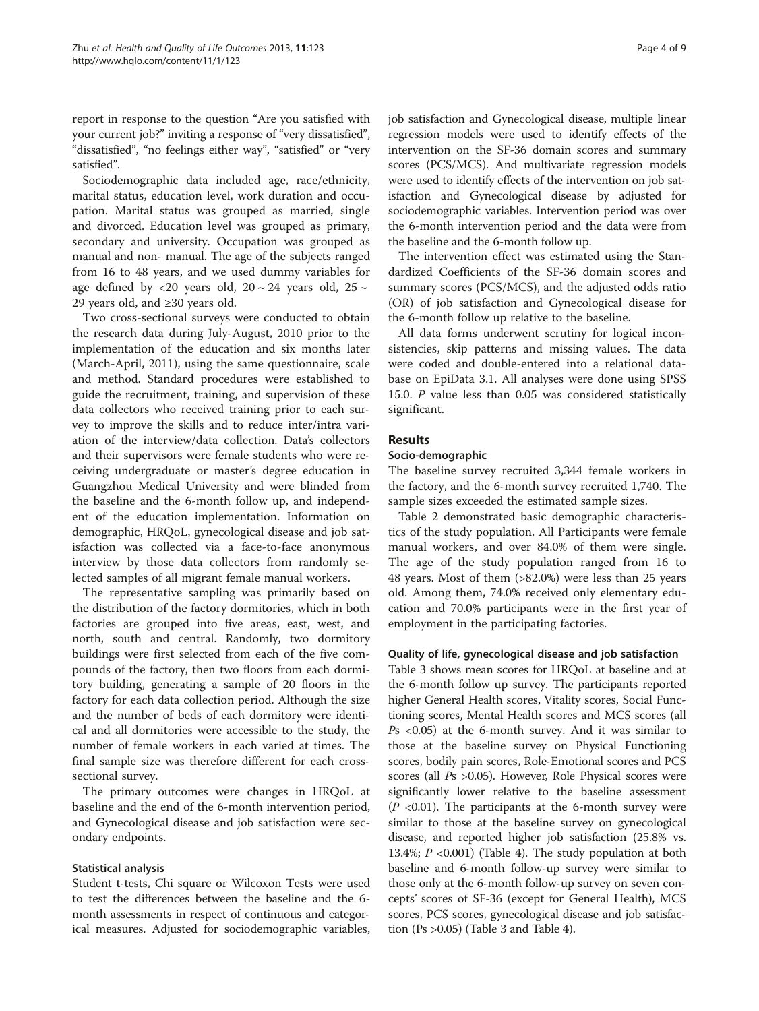report in response to the question "Are you satisfied with your current job?" inviting a response of "very dissatisfied", "dissatisfied", "no feelings either way", "satisfied" or "very satisfied".

Sociodemographic data included age, race/ethnicity, marital status, education level, work duration and occupation. Marital status was grouped as married, single and divorced. Education level was grouped as primary, secondary and university. Occupation was grouped as manual and non- manual. The age of the subjects ranged from 16 to 48 years, and we used dummy variables for age defined by <20 years old,  $20 \sim 24$  years old,  $25 \sim$ 29 years old, and ≥30 years old.

Two cross-sectional surveys were conducted to obtain the research data during July-August, 2010 prior to the implementation of the education and six months later (March-April, 2011), using the same questionnaire, scale and method. Standard procedures were established to guide the recruitment, training, and supervision of these data collectors who received training prior to each survey to improve the skills and to reduce inter/intra variation of the interview/data collection. Data's collectors and their supervisors were female students who were receiving undergraduate or master's degree education in Guangzhou Medical University and were blinded from the baseline and the 6-month follow up, and independent of the education implementation. Information on demographic, HRQoL, gynecological disease and job satisfaction was collected via a face-to-face anonymous interview by those data collectors from randomly selected samples of all migrant female manual workers.

The representative sampling was primarily based on the distribution of the factory dormitories, which in both factories are grouped into five areas, east, west, and north, south and central. Randomly, two dormitory buildings were first selected from each of the five compounds of the factory, then two floors from each dormitory building, generating a sample of 20 floors in the factory for each data collection period. Although the size and the number of beds of each dormitory were identical and all dormitories were accessible to the study, the number of female workers in each varied at times. The final sample size was therefore different for each crosssectional survey.

The primary outcomes were changes in HRQoL at baseline and the end of the 6-month intervention period, and Gynecological disease and job satisfaction were secondary endpoints.

#### Statistical analysis

Student t-tests, Chi square or Wilcoxon Tests were used to test the differences between the baseline and the 6 month assessments in respect of continuous and categorical measures. Adjusted for sociodemographic variables, job satisfaction and Gynecological disease, multiple linear regression models were used to identify effects of the intervention on the SF-36 domain scores and summary scores (PCS/MCS). And multivariate regression models were used to identify effects of the intervention on job satisfaction and Gynecological disease by adjusted for sociodemographic variables. Intervention period was over the 6-month intervention period and the data were from the baseline and the 6-month follow up.

The intervention effect was estimated using the Standardized Coefficients of the SF-36 domain scores and summary scores (PCS/MCS), and the adjusted odds ratio (OR) of job satisfaction and Gynecological disease for the 6-month follow up relative to the baseline.

All data forms underwent scrutiny for logical inconsistencies, skip patterns and missing values. The data were coded and double-entered into a relational database on EpiData 3.1. All analyses were done using SPSS 15.0. P value less than 0.05 was considered statistically significant.

#### Results

#### Socio-demographic

The baseline survey recruited 3,344 female workers in the factory, and the 6-month survey recruited 1,740. The sample sizes exceeded the estimated sample sizes.

Table [2](#page-4-0) demonstrated basic demographic characteristics of the study population. All Participants were female manual workers, and over 84.0% of them were single. The age of the study population ranged from 16 to 48 years. Most of them (>82.0%) were less than 25 years old. Among them, 74.0% received only elementary education and 70.0% participants were in the first year of employment in the participating factories.

#### Quality of life, gynecological disease and job satisfaction

Table [3](#page-4-0) shows mean scores for HRQoL at baseline and at the 6-month follow up survey. The participants reported higher General Health scores, Vitality scores, Social Functioning scores, Mental Health scores and MCS scores (all Ps <0.05) at the 6-month survey. And it was similar to those at the baseline survey on Physical Functioning scores, bodily pain scores, Role-Emotional scores and PCS scores (all Ps >0.05). However, Role Physical scores were significantly lower relative to the baseline assessment  $(P \le 0.01)$ . The participants at the 6-month survey were similar to those at the baseline survey on gynecological disease, and reported higher job satisfaction (25.8% vs. 13.4%;  $P$  <0.001) (Table [4](#page-5-0)). The study population at both baseline and 6-month follow-up survey were similar to those only at the 6-month follow-up survey on seven concepts' scores of SF-36 (except for General Health), MCS scores, PCS scores, gynecological disease and job satisfaction (Ps  $>0.05$ ) (Table [3](#page-4-0) and Table [4\)](#page-5-0).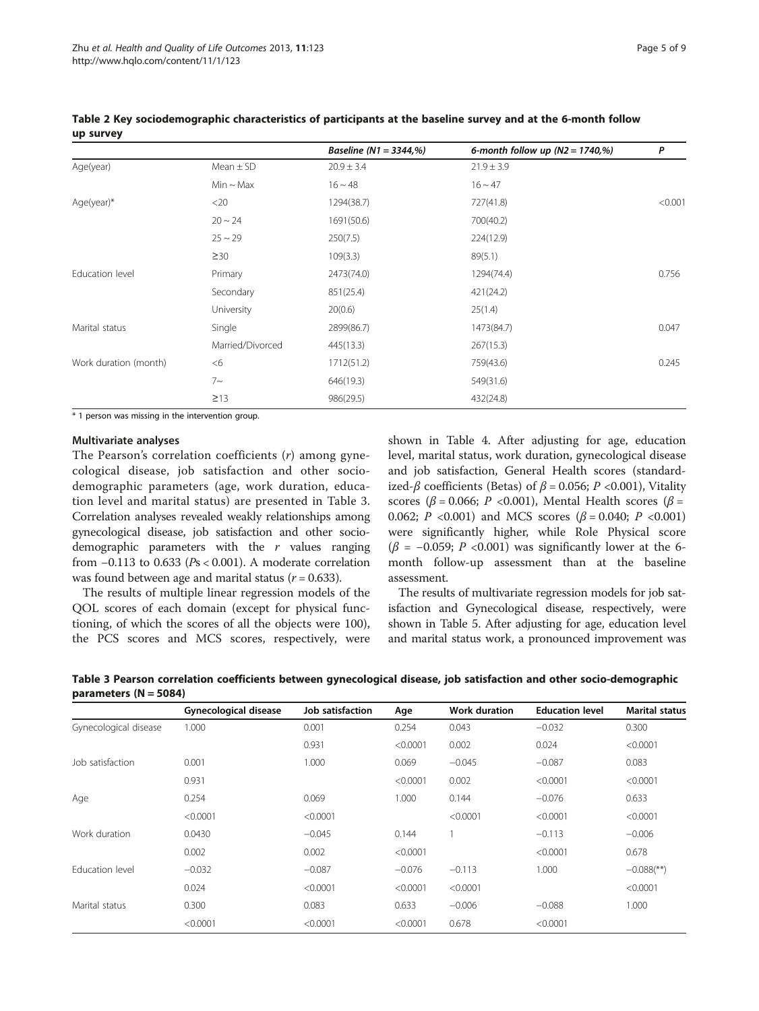|                       |                  | Baseline (N1 = 3344,%) | 6-month follow up ( $N2 = 1740, \%$ ) | P       |
|-----------------------|------------------|------------------------|---------------------------------------|---------|
| Age(year)             | $Mean \pm SD$    | $20.9 \pm 3.4$         | $21.9 \pm 3.9$                        |         |
|                       | $Min \sim Max$   | $16 \sim 48$           | $16 - 47$                             |         |
| $Age(year)*$          | $<$ 20           | 1294(38.7)             | 727(41.8)                             | < 0.001 |
|                       | $20 \sim 24$     | 1691(50.6)             | 700(40.2)                             |         |
|                       | $25 \sim 29$     | 250(7.5)               | 224(12.9)                             |         |
|                       | $\geq$ 30        | 109(3.3)               | 89(5.1)                               |         |
| Education level       | Primary          | 2473(74.0)             | 1294(74.4)                            | 0.756   |
|                       | Secondary        | 851(25.4)              | 421(24.2)                             |         |
|                       | University       | 20(0.6)                | 25(1.4)                               |         |
| Marital status        | Single           | 2899(86.7)             | 1473(84.7)                            | 0.047   |
|                       | Married/Divorced | 445(13.3)              | 267(15.3)                             |         |
| Work duration (month) | <6               | 1712(51.2)             | 759(43.6)                             | 0.245   |
|                       | $7~\sim$         | 646(19.3)              | 549(31.6)                             |         |
|                       | $\geq$ 13        | 986(29.5)              | 432(24.8)                             |         |

<span id="page-4-0"></span>Table 2 Key sociodemographic characteristics of participants at the baseline survey and at the 6-month follow up survey

\* 1 person was missing in the intervention group.

#### Multivariate analyses

The Pearson's correlation coefficients (r) among gynecological disease, job satisfaction and other sociodemographic parameters (age, work duration, education level and marital status) are presented in Table 3. Correlation analyses revealed weakly relationships among gynecological disease, job satisfaction and other sociodemographic parameters with the  $r$  values ranging from  $-0.113$  to 0.633 ( $Ps < 0.001$ ). A moderate correlation was found between age and marital status ( $r = 0.633$ ).

The results of multiple linear regression models of the QOL scores of each domain (except for physical functioning, of which the scores of all the objects were 100), the PCS scores and MCS scores, respectively, were shown in Table [4.](#page-5-0) After adjusting for age, education level, marital status, work duration, gynecological disease and job satisfaction, General Health scores (standardized- $\beta$  coefficients (Betas) of  $\beta$  = 0.056; P <0.001), Vitality scores ( $\beta$  = 0.066; P <0.001), Mental Health scores ( $\beta$  = 0.062; *P* <0.001) and MCS scores ( $\beta$  = 0.040; *P* <0.001) were significantly higher, while Role Physical score  $(\beta = -0.059; P < 0.001)$  was significantly lower at the 6month follow-up assessment than at the baseline assessment.

The results of multivariate regression models for job satisfaction and Gynecological disease, respectively, were shown in Table [5](#page-5-0). After adjusting for age, education level and marital status work, a pronounced improvement was

|                        | Gynecological disease | Job satisfaction | Age      | <b>Work duration</b> | <b>Education level</b> | <b>Marital status</b>    |
|------------------------|-----------------------|------------------|----------|----------------------|------------------------|--------------------------|
| Gynecological disease  | 1.000                 | 0.001            | 0.254    | 0.043                | $-0.032$               | 0.300                    |
|                        |                       | 0.931            | < 0.0001 | 0.002                | 0.024                  | < 0.0001                 |
| Job satisfaction       | 0.001                 | 1.000            | 0.069    | $-0.045$             | $-0.087$               | 0.083                    |
|                        | 0.931                 |                  | < 0.0001 | 0.002                | < 0.0001               | < 0.0001                 |
| Age                    | 0.254                 | 0.069            | 1.000    | 0.144                | $-0.076$               | 0.633                    |
|                        | < 0.0001              | < 0.0001         |          | < 0.0001             | < 0.0001               | < 0.0001                 |
| Work duration          | 0.0430                | $-0.045$         | 0.144    |                      | $-0.113$               | $-0.006$                 |
|                        | 0.002                 | 0.002            | < 0.0001 |                      | < 0.0001               | 0.678                    |
| <b>Fducation level</b> | $-0.032$              | $-0.087$         | $-0.076$ | $-0.113$             | 1.000                  | $-0.088$ <sup>**</sup> ) |
|                        | 0.024                 | < 0.0001         | < 0.0001 | < 0.0001             |                        | < 0.0001                 |
| Marital status         | 0.300                 | 0.083            | 0.633    | $-0.006$             | $-0.088$               | 1.000                    |
|                        | < 0.0001              | < 0.0001         | < 0.0001 | 0.678                | < 0.0001               |                          |

Table 3 Pearson correlation coefficients between gynecological disease, job satisfaction and other socio-demographic parameters (N = 5084)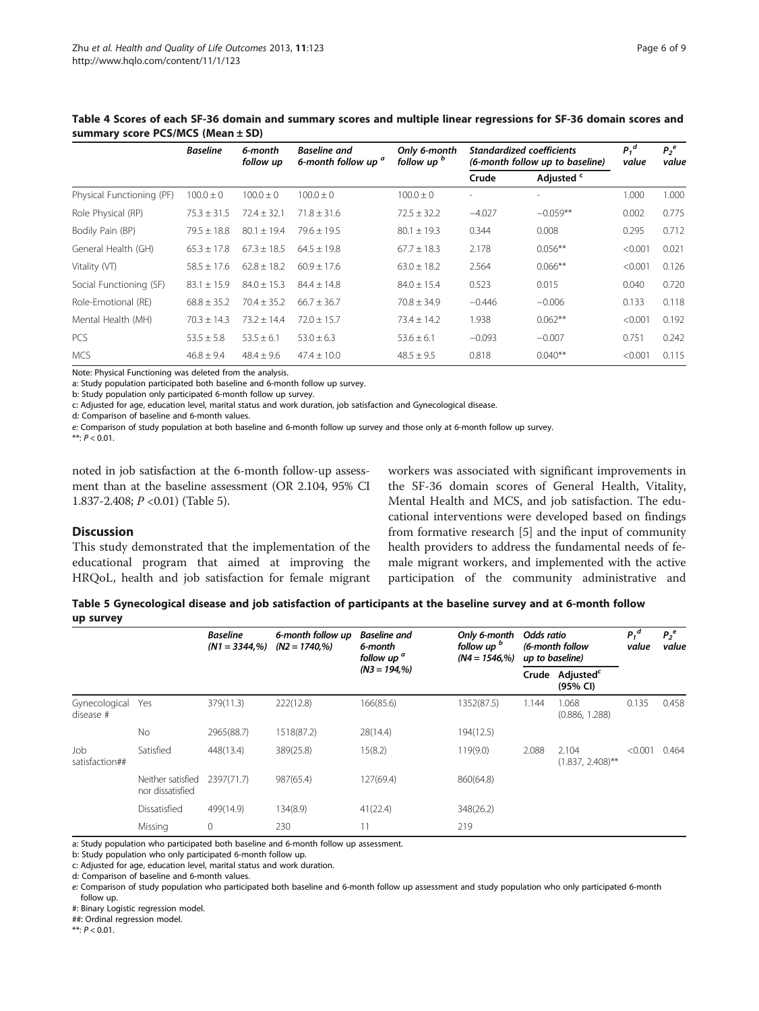|                           | <b>Baseline</b> | 6-month<br>follow up | <b>Baseline and</b><br>6-month follow up <sup>a</sup> | Only 6-month<br>follow up <sup>b</sup> | <b>Standardized coefficients</b><br>(6-month follow up to baseline) | $P_1^d$<br>value      | $P_2^e$<br>value |       |
|---------------------------|-----------------|----------------------|-------------------------------------------------------|----------------------------------------|---------------------------------------------------------------------|-----------------------|------------------|-------|
|                           |                 |                      |                                                       |                                        | Crude                                                               | Adjusted <sup>c</sup> |                  |       |
| Physical Functioning (PF) | $100.0 \pm 0$   | $100.0 \pm 0$        | $100.0 \pm 0$                                         | $100.0 \pm 0$                          |                                                                     |                       | 1.000            | 1.000 |
| Role Physical (RP)        | $75.3 \pm 31.5$ | $72.4 \pm 32.1$      | $71.8 \pm 31.6$                                       | $72.5 \pm 32.2$                        | $-4.027$                                                            | $-0.059**$            | 0.002            | 0.775 |
| Bodily Pain (BP)          | $79.5 \pm 18.8$ | $80.1 \pm 19.4$      | $79.6 \pm 19.5$                                       | $80.1 \pm 19.3$                        | 0.344                                                               | 0.008                 | 0.295            | 0.712 |
| General Health (GH)       | $65.3 \pm 17.8$ | $67.3 \pm 18.5$      | $64.5 \pm 19.8$                                       | $67.7 \pm 18.3$                        | 2.178                                                               | $0.056**$             | < 0.001          | 0.021 |
| Vitality (VT)             | $58.5 \pm 17.6$ | $62.8 \pm 18.2$      | $60.9 \pm 17.6$                                       | $63.0 \pm 18.2$                        | 2.564                                                               | $0.066**$             | < 0.001          | 0.126 |
| Social Functioning (SF)   | $83.1 \pm 15.9$ | $84.0 + 15.3$        | $84.4 + 14.8$                                         | $84.0 \pm 15.4$                        | 0.523                                                               | 0.015                 | 0.040            | 0.720 |
| Role-Emotional (RE)       | $68.8 \pm 35.2$ | $70.4 \pm 35.2$      | $66.7 \pm 36.7$                                       | $70.8 \pm 34.9$                        | $-0.446$                                                            | $-0.006$              | 0.133            | 0.118 |
| Mental Health (MH)        | $70.3 \pm 14.3$ | $73.2 + 14.4$        | $72.0 + 15.7$                                         | $73.4 \pm 14.2$                        | 1.938                                                               | $0.062**$             | < 0.001          | 0.192 |
| PCS                       | $53.5 \pm 5.8$  | $53.5 \pm 6.1$       | $53.0 \pm 6.3$                                        | $53.6 \pm 6.1$                         | $-0.093$                                                            | $-0.007$              | 0.751            | 0.242 |
| <b>MCS</b>                | $46.8 \pm 9.4$  | $48.4 \pm 9.6$       | $47.4 + 10.0$                                         | $48.5 \pm 9.5$                         | 0.818                                                               | $0.040**$             | < 0.001          | 0.115 |

<span id="page-5-0"></span>Table 4 Scores of each SF-36 domain and summary scores and multiple linear regressions for SF-36 domain scores and summary score PCS/MCS (Mean ± SD)

Note: Physical Functioning was deleted from the analysis.

a: Study population participated both baseline and 6-month follow up survey.

b: Study population only participated 6-month follow up survey.

c: Adjusted for age, education level, marital status and work duration, job satisfaction and Gynecological disease.

d: Comparison of baseline and 6-month values.

e: Comparison of study population at both baseline and 6-month follow up survey and those only at 6-month follow up survey. \*\*:  $P < 0.01$ .

noted in job satisfaction at the 6-month follow-up assessment than at the baseline assessment (OR 2.104, 95% CI 1.837-2.408; P <0.01) (Table 5).

#### **Discussion**

This study demonstrated that the implementation of the educational program that aimed at improving the HRQoL, health and job satisfaction for female migrant

workers was associated with significant improvements in the SF-36 domain scores of General Health, Vitality, Mental Health and MCS, and job satisfaction. The educational interventions were developed based on findings from formative research [\[5](#page-7-0)] and the input of community health providers to address the fundamental needs of female migrant workers, and implemented with the active participation of the community administrative and

Table 5 Gynecological disease and job satisfaction of participants at the baseline survey and at 6-month follow up survey

|                            |                                       | <b>Baseline</b><br>$(N1 = 3344, \%)$ | 6-month follow up<br>$(N2 = 1740.$ %) | <b>Baseline and</b><br>6-month<br>follow up <sup>a</sup><br>$(N3 = 194,%)$ | Only 6-month<br>follow up <sup>b</sup><br>$(N4 = 1546, \%)$ | Odds ratio<br>(6-month follow<br>up to baseline) |                                         | $P_1^d$<br>value | $P_2^e$<br>value |
|----------------------------|---------------------------------------|--------------------------------------|---------------------------------------|----------------------------------------------------------------------------|-------------------------------------------------------------|--------------------------------------------------|-----------------------------------------|------------------|------------------|
|                            |                                       |                                      |                                       |                                                                            |                                                             |                                                  | Crude Adjusted <sup>c</sup><br>(95% CI) |                  |                  |
| Gynecological<br>disease # | Yes                                   | 379(11.3)                            | 222(12.8)                             | 166(85.6)                                                                  | 1352(87.5)                                                  | 1.144                                            | 1.068<br>(0.886, 1.288)                 | 0.135            | 0.458            |
|                            | No                                    | 2965(88.7)                           | 1518(87.2)                            | 28(14.4)                                                                   | 194(12.5)                                                   |                                                  |                                         |                  |                  |
| Job<br>satisfaction##      | Satisfied                             | 448(13.4)                            | 389(25.8)                             | 15(8.2)                                                                    | 119(9.0)                                                    | 2.088                                            | 2.104<br>$(1.837, 2.408)$ **            | < 0.001          | 0.464            |
|                            | Neither satisfied<br>nor dissatisfied | 2397(71.7)                           | 987(65.4)                             | 127(69.4)                                                                  | 860(64.8)                                                   |                                                  |                                         |                  |                  |
|                            | Dissatisfied                          | 499(14.9)                            | 134(8.9)                              | 41(22.4)                                                                   | 348(26.2)                                                   |                                                  |                                         |                  |                  |
|                            | Missing                               | $\mathbf{0}$                         | 230                                   | 11                                                                         | 219                                                         |                                                  |                                         |                  |                  |

a: Study population who participated both baseline and 6-month follow up assessment.

b: Study population who only participated 6-month follow up.

c: Adjusted for age, education level, marital status and work duration.

d: Comparison of baseline and 6-month values.

e: Comparison of study population who participated both baseline and 6-month follow up assessment and study population who only participated 6-month follow up.

#: Binary Logistic regression model.

##: Ordinal regression model.

\*\*:  $P < 0.01$ .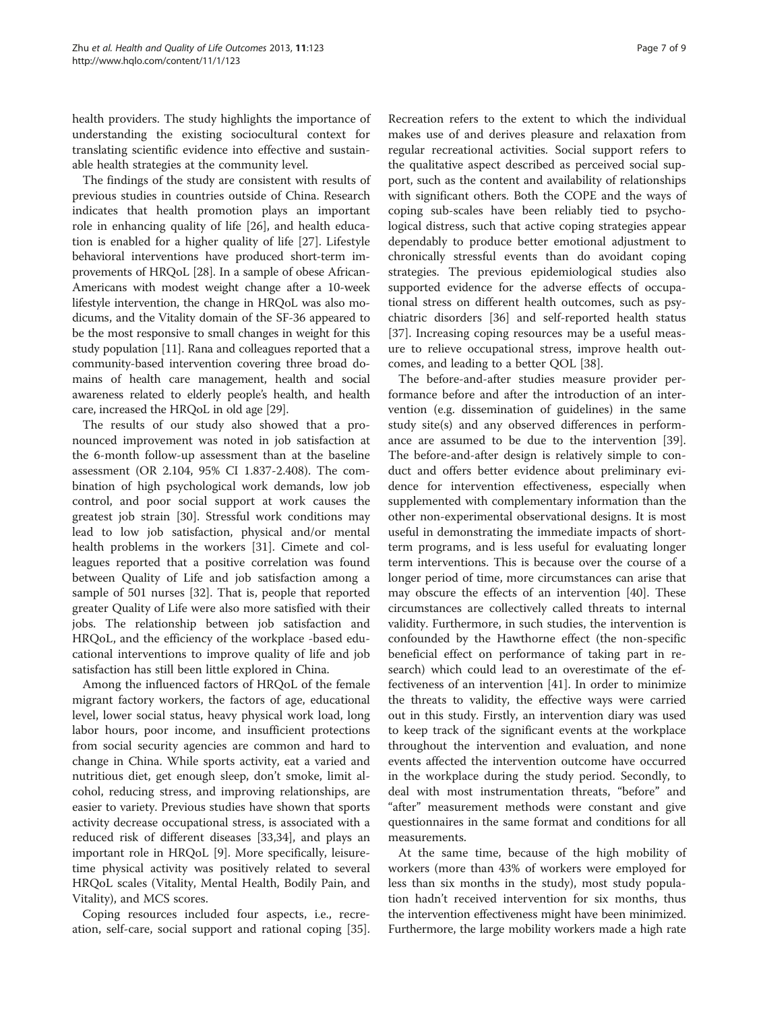health providers. The study highlights the importance of understanding the existing sociocultural context for translating scientific evidence into effective and sustainable health strategies at the community level.

The findings of the study are consistent with results of previous studies in countries outside of China. Research indicates that health promotion plays an important role in enhancing quality of life [\[26](#page-7-0)], and health education is enabled for a higher quality of life [\[27](#page-8-0)]. Lifestyle behavioral interventions have produced short-term improvements of HRQoL [[28](#page-8-0)]. In a sample of obese African-Americans with modest weight change after a 10-week lifestyle intervention, the change in HRQoL was also modicums, and the Vitality domain of the SF-36 appeared to be the most responsive to small changes in weight for this study population [[11](#page-7-0)]. Rana and colleagues reported that a community-based intervention covering three broad domains of health care management, health and social awareness related to elderly people's health, and health care, increased the HRQoL in old age [[29](#page-8-0)].

The results of our study also showed that a pronounced improvement was noted in job satisfaction at the 6-month follow-up assessment than at the baseline assessment (OR 2.104, 95% CI 1.837-2.408). The combination of high psychological work demands, low job control, and poor social support at work causes the greatest job strain [[30](#page-8-0)]. Stressful work conditions may lead to low job satisfaction, physical and/or mental health problems in the workers [[31\]](#page-8-0). Cimete and colleagues reported that a positive correlation was found between Quality of Life and job satisfaction among a sample of 501 nurses [[32\]](#page-8-0). That is, people that reported greater Quality of Life were also more satisfied with their jobs. The relationship between job satisfaction and HRQoL, and the efficiency of the workplace -based educational interventions to improve quality of life and job satisfaction has still been little explored in China.

Among the influenced factors of HRQoL of the female migrant factory workers, the factors of age, educational level, lower social status, heavy physical work load, long labor hours, poor income, and insufficient protections from social security agencies are common and hard to change in China. While sports activity, eat a varied and nutritious diet, get enough sleep, don't smoke, limit alcohol, reducing stress, and improving relationships, are easier to variety. Previous studies have shown that sports activity decrease occupational stress, is associated with a reduced risk of different diseases [[33,34\]](#page-8-0), and plays an important role in HRQoL [[9\]](#page-7-0). More specifically, leisuretime physical activity was positively related to several HRQoL scales (Vitality, Mental Health, Bodily Pain, and Vitality), and MCS scores.

Coping resources included four aspects, i.e., recreation, self-care, social support and rational coping [\[35](#page-8-0)].

Recreation refers to the extent to which the individual makes use of and derives pleasure and relaxation from regular recreational activities. Social support refers to the qualitative aspect described as perceived social support, such as the content and availability of relationships with significant others. Both the COPE and the ways of coping sub-scales have been reliably tied to psychological distress, such that active coping strategies appear dependably to produce better emotional adjustment to chronically stressful events than do avoidant coping strategies. The previous epidemiological studies also supported evidence for the adverse effects of occupational stress on different health outcomes, such as psychiatric disorders [\[36\]](#page-8-0) and self-reported health status [[37\]](#page-8-0). Increasing coping resources may be a useful measure to relieve occupational stress, improve health outcomes, and leading to a better QOL [\[38](#page-8-0)].

The before-and-after studies measure provider performance before and after the introduction of an intervention (e.g. dissemination of guidelines) in the same study site(s) and any observed differences in performance are assumed to be due to the intervention [\[39](#page-8-0)]. The before-and-after design is relatively simple to conduct and offers better evidence about preliminary evidence for intervention effectiveness, especially when supplemented with complementary information than the other non-experimental observational designs. It is most useful in demonstrating the immediate impacts of shortterm programs, and is less useful for evaluating longer term interventions. This is because over the course of a longer period of time, more circumstances can arise that may obscure the effects of an intervention [[40](#page-8-0)]. These circumstances are collectively called threats to internal validity. Furthermore, in such studies, the intervention is confounded by the Hawthorne effect (the non-specific beneficial effect on performance of taking part in research) which could lead to an overestimate of the effectiveness of an intervention [[41\]](#page-8-0). In order to minimize the threats to validity, the effective ways were carried out in this study. Firstly, an intervention diary was used to keep track of the significant events at the workplace throughout the intervention and evaluation, and none events affected the intervention outcome have occurred in the workplace during the study period. Secondly, to deal with most instrumentation threats, "before" and "after" measurement methods were constant and give questionnaires in the same format and conditions for all measurements.

At the same time, because of the high mobility of workers (more than 43% of workers were employed for less than six months in the study), most study population hadn't received intervention for six months, thus the intervention effectiveness might have been minimized. Furthermore, the large mobility workers made a high rate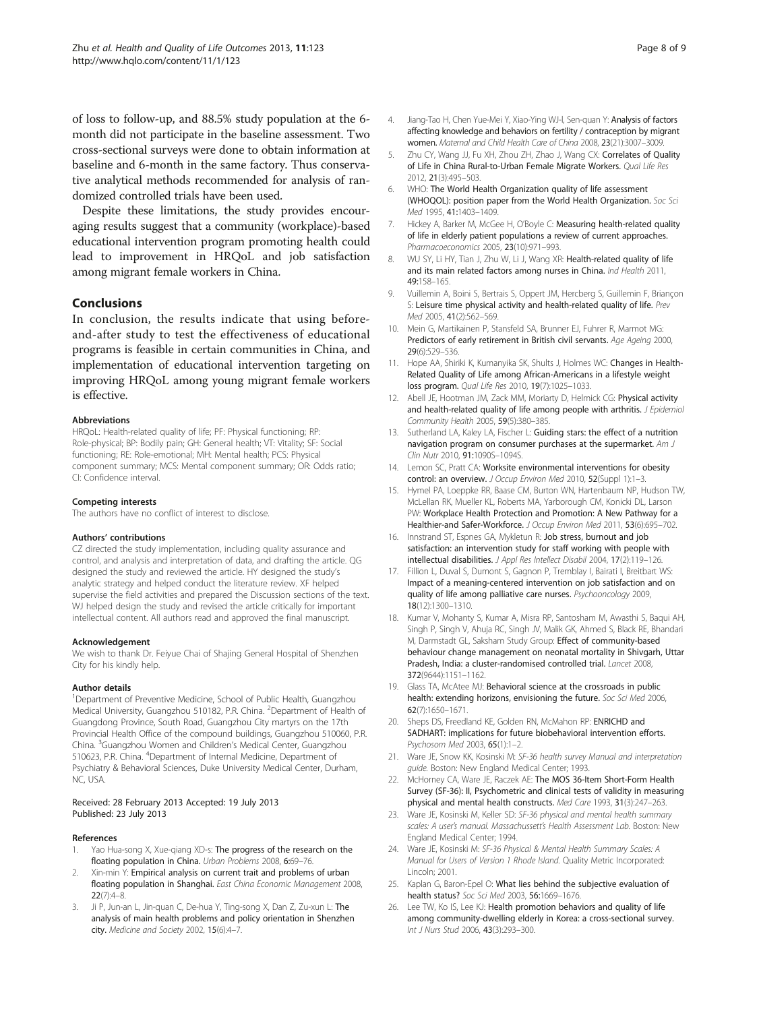<span id="page-7-0"></span>of loss to follow-up, and 88.5% study population at the 6 month did not participate in the baseline assessment. Two cross-sectional surveys were done to obtain information at baseline and 6-month in the same factory. Thus conservative analytical methods recommended for analysis of randomized controlled trials have been used.

Despite these limitations, the study provides encouraging results suggest that a community (workplace)-based educational intervention program promoting health could lead to improvement in HRQoL and job satisfaction among migrant female workers in China.

#### Conclusions

In conclusion, the results indicate that using beforeand-after study to test the effectiveness of educational programs is feasible in certain communities in China, and implementation of educational intervention targeting on improving HRQoL among young migrant female workers is effective.

#### Abbreviations

HRQoL: Health-related quality of life; PF: Physical functioning; RP: Role-physical; BP: Bodily pain; GH: General health; VT: Vitality; SF: Social functioning; RE: Role-emotional; MH: Mental health; PCS: Physical component summary; MCS: Mental component summary; OR: Odds ratio; CI: Confidence interval.

#### Competing interests

The authors have no conflict of interest to disclose.

#### Authors' contributions

CZ directed the study implementation, including quality assurance and control, and analysis and interpretation of data, and drafting the article. QG designed the study and reviewed the article. HY designed the study's analytic strategy and helped conduct the literature review. XF helped supervise the field activities and prepared the Discussion sections of the text. WJ helped design the study and revised the article critically for important intellectual content. All authors read and approved the final manuscript.

#### Acknowledgement

We wish to thank Dr. Feiyue Chai of Shajing General Hospital of Shenzhen City for his kindly help.

#### Author details

<sup>1</sup>Department of Preventive Medicine, School of Public Health, Guangzhou Medical University, Guangzhou 510182, P.R. China. <sup>2</sup>Department of Health of Guangdong Province, South Road, Guangzhou City martyrs on the 17th Provincial Health Office of the compound buildings, Guangzhou 510060, P.R. China. <sup>3</sup>Guangzhou Women and Children's Medical Center, Guangzhou 510623, P.R. China. <sup>4</sup>Department of Internal Medicine, Department of Psychiatry & Behavioral Sciences, Duke University Medical Center, Durham, NC, USA.

#### Received: 28 February 2013 Accepted: 19 July 2013 Published: 23 July 2013

#### References

- 1. Yao Hua-song X, Xue-qiang XD-s: The progress of the research on the floating population in China. Urban Problems 2008, 6:69-76.
- Xin-min Y: Empirical analysis on current trait and problems of urban floating population in Shanghai. East China Economic Management 2008, 22(7):4–8.
- 3. Ji P, Jun-an L, Jin-quan C, De-hua Y, Ting-song X, Dan Z, Zu-xun L: The analysis of main health problems and policy orientation in Shenzhen city. Medicine and Society 2002, 15(6):4–7.
- 4. Jiang-Tao H, Chen Yue-Mei Y, Xiao-Ying WJ-l, Sen-quan Y: Analysis of factors affecting knowledge and behaviors on fertility / contraception by migrant women. Maternal and Child Health Care of China 2008, 23(21):3007–3009.
- Zhu CY, Wang JJ, Fu XH, Zhou ZH, Zhao J, Wang CX: Correlates of Quality of Life in China Rural-to-Urban Female Migrate Workers. Qual Life Res 2012, 21(3):495–503.
- 6. WHO: The World Health Organization quality of life assessment (WHOQOL): position paper from the World Health Organization. Soc Sci Med 1995, 41:1403–1409.
- 7. Hickey A, Barker M, McGee H, O'Boyle C: Measuring health-related quality of life in elderly patient populations a review of current approaches. Pharmacoeconomics 2005, 23(10):971–993.
- 8. WU SY, Li HY, Tian J, Zhu W, Li J, Wang XR: Health-related quality of life and its main related factors among nurses in China. Ind Health 2011, 49:158–165.
- 9. Vuillemin A, Boini S, Bertrais S, Oppert JM, Hercberg S, Guillemin F, Briançon S: Leisure time physical activity and health-related quality of life. Prev Med 2005, 41(2):562-569.
- 10. Mein G, Martikainen P, Stansfeld SA, Brunner EJ, Fuhrer R, Marmot MG: Predictors of early retirement in British civil servants. Age Ageing 2000, 29(6):529–536.
- 11. Hope AA, Shiriki K, Kumanyika SK, Shults J, Holmes WC: Changes in Health-Related Quality of Life among African-Americans in a lifestyle weight loss program. Qual Life Res 2010, 19(7):1025–1033.
- 12. Abell JE, Hootman JM, Zack MM, Moriarty D, Helmick CG: Physical activity and health-related quality of life among people with arthritis. J Epidemiol Community Health 2005, 59(5):380–385.
- 13. Sutherland LA, Kaley LA, Fischer L: Guiding stars: the effect of a nutrition navigation program on consumer purchases at the supermarket. Am J Clin Nutr 2010, 91:1090S–1094S.
- 14. Lemon SC, Pratt CA: Worksite environmental interventions for obesity control: an overview. J Occup Environ Med 2010, 52(Suppl 1):1-3.
- 15. Hymel PA, Loeppke RR, Baase CM, Burton WN, Hartenbaum NP, Hudson TW, McLellan RK, Mueller KL, Roberts MA, Yarborough CM, Konicki DL, Larson PW: Workplace Health Protection and Promotion: A New Pathway for a Healthier-and Safer-Workforce. J Occup Environ Med 2011, 53(6):695-702.
- 16. Innstrand ST, Espnes GA, Mykletun R: Job stress, burnout and job satisfaction: an intervention study for staff working with people with intellectual disabilities. J Appl Res Intellect Disabil 2004, 17(2):119–126.
- 17. Fillion L, Duval S, Dumont S, Gagnon P, Tremblay I, Bairati I, Breitbart WS: Impact of a meaning-centered intervention on job satisfaction and on quality of life among palliative care nurses. Psychooncology 2009, 18(12):1300–1310.
- 18. Kumar V, Mohanty S, Kumar A, Misra RP, Santosham M, Awasthi S, Baqui AH, Singh P, Singh V, Ahuja RC, Singh JV, Malik GK, Ahmed S, Black RE, Bhandari M, Darmstadt GL, Saksham Study Group: Effect of community-based behaviour change management on neonatal mortality in Shivgarh, Uttar Pradesh, India: a cluster-randomised controlled trial. Lancet 2008, 372(9644):1151–1162.
- 19. Glass TA, McAtee MJ: Behavioral science at the crossroads in public health: extending horizons, envisioning the future. Soc Sci Med 2006, 62(7):1650–1671.
- 20. Sheps DS, Freedland KE, Golden RN, McMahon RP: ENRICHD and SADHART: implications for future biobehavioral intervention efforts. Psychosom Med 2003, 65(1):1–2.
- 21. Ware JE, Snow KK, Kosinski M: SF-36 health survey Manual and interpretation guide. Boston: New England Medical Center; 1993.
- 22. McHorney CA, Ware JE, Raczek AE: The MOS 36-Item Short-Form Health Survey (SF-36): II, Psychometric and clinical tests of validity in measuring physical and mental health constructs. Med Care 1993, 31(3):247–263.
- 23. Ware JE, Kosinski M, Keller SD: SF-36 physical and mental health summary scales: A user's manual. Massachussett's Health Assessment Lab. Boston: New England Medical Center; 1994.
- 24. Ware JE, Kosinski M: SF-36 Physical & Mental Health Summary Scales: A Manual for Users of Version 1 Rhode Island. Quality Metric Incorporated: Lincoln; 2001.
- 25. Kaplan G, Baron-Epel O: What lies behind the subjective evaluation of health status? Soc Sci Med 2003, 56:1669–1676.
- 26. Lee TW, Ko IS, Lee KJ: Health promotion behaviors and quality of life among community-dwelling elderly in Korea: a cross-sectional survey. Int J Nurs Stud 2006, 43(3):293–300.